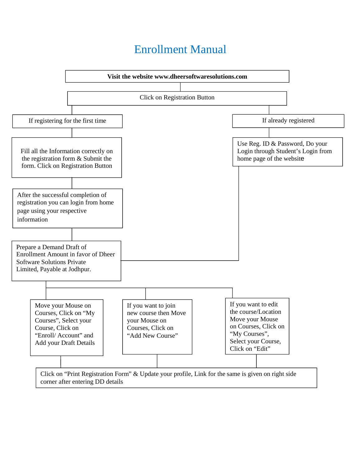## Enrollment Manual